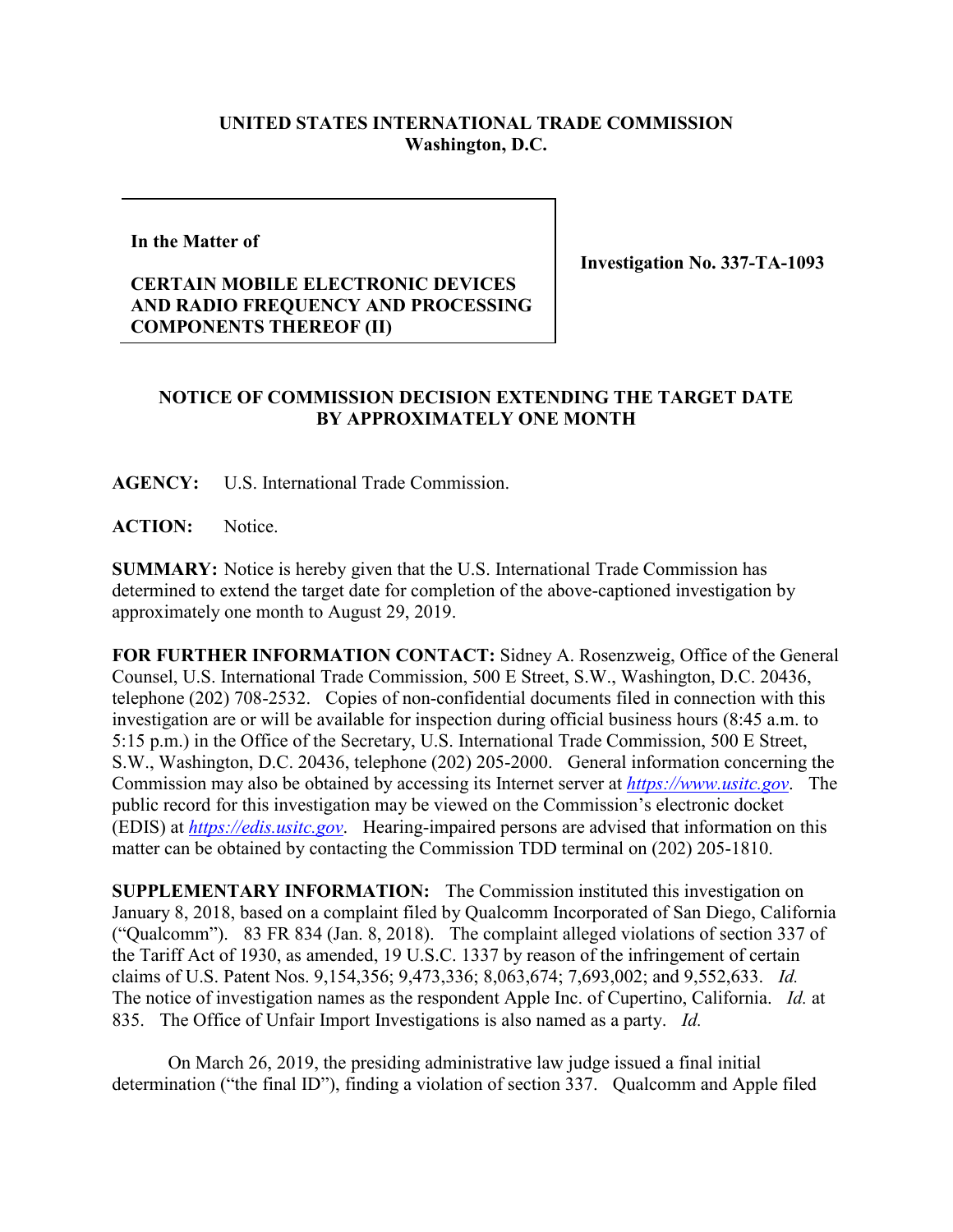## **UNITED STATES INTERNATIONAL TRADE COMMISSION Washington, D.C.**

**In the Matter of**

## **CERTAIN MOBILE ELECTRONIC DEVICES AND RADIO FREQUENCY AND PROCESSING COMPONENTS THEREOF (II)**

**Investigation No. 337-TA-1093**

## **NOTICE OF COMMISSION DECISION EXTENDING THE TARGET DATE BY APPROXIMATELY ONE MONTH**

**AGENCY:** U.S. International Trade Commission.

**ACTION:** Notice.

**SUMMARY:** Notice is hereby given that the U.S. International Trade Commission has determined to extend the target date for completion of the above-captioned investigation by approximately one month to August 29, 2019.

**FOR FURTHER INFORMATION CONTACT:** Sidney A. Rosenzweig, Office of the General Counsel, U.S. International Trade Commission, 500 E Street, S.W., Washington, D.C. 20436, telephone (202) 708-2532. Copies of non-confidential documents filed in connection with this investigation are or will be available for inspection during official business hours (8:45 a.m. to 5:15 p.m.) in the Office of the Secretary, U.S. International Trade Commission, 500 E Street, S.W., Washington, D.C. 20436, telephone (202) 205-2000. General information concerning the Commission may also be obtained by accessing its Internet server at *[https://www.usitc.gov](https://www.usitc.gov/)*. The public record for this investigation may be viewed on the Commission's electronic docket (EDIS) at *[https://edis.usitc.gov](https://edis.usitc.gov/)*. Hearing-impaired persons are advised that information on this matter can be obtained by contacting the Commission TDD terminal on (202) 205-1810.

**SUPPLEMENTARY INFORMATION:** The Commission instituted this investigation on January 8, 2018, based on a complaint filed by Qualcomm Incorporated of San Diego, California ("Qualcomm"). 83 FR 834 (Jan. 8, 2018). The complaint alleged violations of section 337 of the Tariff Act of 1930, as amended, 19 U.S.C. 1337 by reason of the infringement of certain claims of U.S. Patent Nos. 9,154,356; 9,473,336; 8,063,674; 7,693,002; and 9,552,633. *Id.* The notice of investigation names as the respondent Apple Inc. of Cupertino, California. *Id.* at 835. The Office of Unfair Import Investigations is also named as a party. *Id.*

On March 26, 2019, the presiding administrative law judge issued a final initial determination ("the final ID"), finding a violation of section 337. Qualcomm and Apple filed